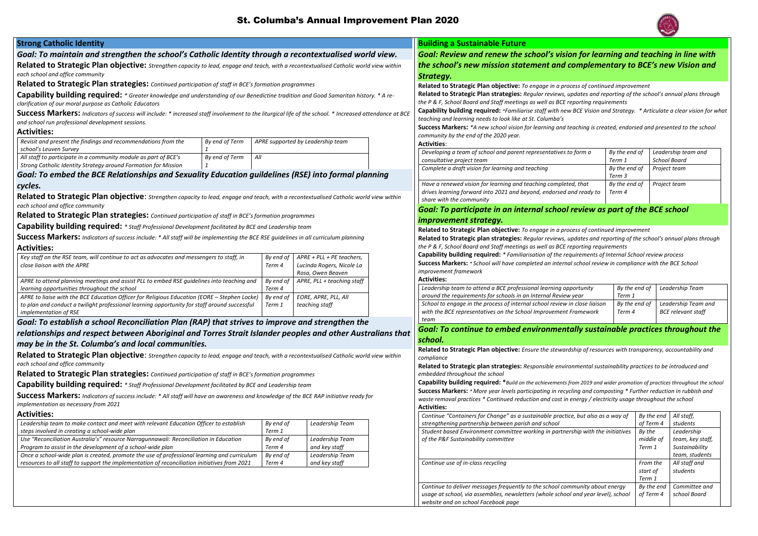# St. Columba's Annual Improvement Plan 2020

## **Strong Catholic Identity**

## *Goal: To maintain and strengthen the school's Catholic Identity through a recontextualised world view.*

**Related to Strategic Plan objective:** *Strengthen capacity to lead, engage and teach, with a recontextualised Catholic world view within each school and office community*

**Related to Strategic Plan strategies:** *Continued participation of staff in BCE's formation programmes*

**Capability building required:** *\* Greater knowledge and understanding of our Benedictine tradition and Good Samaritan history. \* A reclarification of our moral purpose as Catholic Educators*

**Success Markers:** *Indicators of success will include: \* increased staff involvement to the liturgical life of the school. \* Increased attendance at BCE and school run professional development sessions.*

### **Activities:**

| Revisit and present the findings and recommendations from the   | By end of Term | APRE supported by Leadership team |
|-----------------------------------------------------------------|----------------|-----------------------------------|
| school's Leuven Survev                                          |                |                                   |
| All staff to participate in a community module as part of BCE's | By end of Term | All                               |
| Strong Catholic Identity Strategy around Formation for Mission  |                |                                   |

*Goal: To embed the BCE Relationships and Sexuality Education guildelines (RSE) into formal planning cycles.*

### **Related to Strategic Plan objective**: *Strengthen capacity to lead, engage and teach, with a recontextualised Catholic world view within each school and office community*

**Related to Strategic Plan strategies:** *Continued participation of staff in BCE's formation programmes*

**Capability building required:** *\* Staff Professional Development facilitated by BCE and Leadership team*

**Success Markers:** *Indicators of success include: \* All staff will be implementing the BCE RSE guidelines in all curriculum planning* **Activities:**

| Key staff on the RSE team, will continue to act as advocates and messengers to staff, in     | By end of | $APRE + PLL + PE$ teachers, |
|----------------------------------------------------------------------------------------------|-----------|-----------------------------|
| close ligison with the APRE                                                                  | Term 4    | Lucinda Rogers, Nicole La   |
|                                                                                              |           | Rosa, Owen Beaven           |
| APRE to attend planning meetings and assist PLL to embed RSE guidelines into teaching and    | By end of | APRE, PLL + teaching staff  |
| learning opportunities throughout the school                                                 | Term 4    |                             |
| APRE to liaise with the BCE Education Officer for Religious Education (EORE - Stephen Locke) | By end of | EORE, APRE, PLL, All        |
| to plan and conduct a twilight professional learning opportunity for staff around successful | Term 1    | teaching staff              |
| <i>implementation of RSE</i>                                                                 |           |                             |

## *Goal: To establish a school Reconciliation Plan (RAP) that strives to improve and strengthen the relationships and respect between Aboriginal and Torres Strait Islander peoples and other Australians that may be in the St. Columba's and local communities.*

**Related to Strategic Plan objective**: *Strengthen capacity to lead, engage and teach, with a recontextualised Catholic world view within each school and office community*

**Related to Strategic Plan strategies:** *Continued participation of staff in BCE's formation programmes*

**Capability building required:** *\* Staff Professional Development facilitated by BCE and Leadership team*

Leadership team to attend a BCE professional learning opp around the requirements for schools in an Internal Review *School to engage in the process of internal school review in* with the BCE representatives on the School Improvement F *team*

**Success Markers:** *Indicators of success include: \* All staff will have an awareness and knowledge of the BCE RAP initiative ready for implementation as necessary from 2021*

## **Activities:**

*Continue "Containers for Change" as a sustainable practice strengthening partnership between parish and school*

| Leadership team to make contact and meet with relevant Education Officer to establish        | By end of | Leadership Team |
|----------------------------------------------------------------------------------------------|-----------|-----------------|
| steps involved in creating a school-wide plan                                                | Term 1    |                 |
| Use "Reconciliation Australia's" resource Narragunnawali: Reconciliation in Education        | By end of | Leadership Team |
| Program to assist in the development of a school-wide plan                                   | Term 4    | and key staff   |
| Once a school-wide plan is created, promote the use of professional learning and curriculum  | By end of | Leadership Team |
| resources to all staff to support the implementation of reconciliation initiatives from 2021 | Term 4    | and key staff   |

*Student based Environment committee working in partners of the P&F Sustainability committee*

*Continue to deliver messages frequently to the school comr usage at school, via assemblies, newsletters (whole school website and on school Facebook page*



- 
- 
- 

| <b>Building a Sustainable Future</b>                                                                                                                                                                                                                                                                                                                                                                                                                                                                                |                         |                                            |  |
|---------------------------------------------------------------------------------------------------------------------------------------------------------------------------------------------------------------------------------------------------------------------------------------------------------------------------------------------------------------------------------------------------------------------------------------------------------------------------------------------------------------------|-------------------------|--------------------------------------------|--|
| Goal: Review and renew the school's vision for learning and teaching in line with                                                                                                                                                                                                                                                                                                                                                                                                                                   |                         |                                            |  |
| the school's new mission statement and complementary to BCE's new Vision and                                                                                                                                                                                                                                                                                                                                                                                                                                        |                         |                                            |  |
| Strategy.                                                                                                                                                                                                                                                                                                                                                                                                                                                                                                           |                         |                                            |  |
| Related to Strategic Plan objective: To engage in a process of continued improvement<br>Related to Strategic Plan strategies: Regular reviews, updates and reporting of the school's annual plans through<br>the P & F, School Board and Staff meetings as well as BCE reporting requirements<br>Capability building required: *Familiarise staff with new BCE Vision and Strategy. * Articulate a clear vision for what<br>teaching and learning needs to look like at St. Columba's                               |                         |                                            |  |
| <b>Success Markers:</b> *A new school vision for learning and teaching is created, endorsed and presented to the school<br>community by the end of the 2020 year.<br><b>Activities:</b>                                                                                                                                                                                                                                                                                                                             |                         |                                            |  |
| Developing a team of school and parent representatives to form a<br>consultative project team                                                                                                                                                                                                                                                                                                                                                                                                                       | By the end of<br>Term 1 | Leadership team and<br><b>School Board</b> |  |
| Complete a draft vision for learning and teaching                                                                                                                                                                                                                                                                                                                                                                                                                                                                   | By the end of<br>Term 3 | Project team                               |  |
| Have a renewed vision for learning and teaching completed, that<br>drives learning forward into 2021 and beyond, endorsed and ready to<br>share with the community                                                                                                                                                                                                                                                                                                                                                  | By the end of<br>Term 4 | Project team                               |  |
| Goal: To participate in an internal school review as part of the BCE school                                                                                                                                                                                                                                                                                                                                                                                                                                         |                         |                                            |  |
| <i>improvement strategy.</i>                                                                                                                                                                                                                                                                                                                                                                                                                                                                                        |                         |                                            |  |
| Related to Strategic Plan objective: To engage in a process of continued improvement<br>Related to Strategic plan strategies: Regular reviews, updates and reporting of the school's annual plans through<br>the P & F, School Board and Staff meetings as well as BCE reporting requirements<br>Capability building required: * Familiarisation of the requirements of Internal School review process<br>Success Markers: * School will have completed an internal school review in compliance with the BCE School |                         |                                            |  |
| improvement framework<br><b>Activities:</b>                                                                                                                                                                                                                                                                                                                                                                                                                                                                         |                         |                                            |  |

| By the end of           | Leadership Team                                  |
|-------------------------|--------------------------------------------------|
|                         |                                                  |
| By the end of<br>Term 4 | Leadership Team and<br><b>BCE relevant staff</b> |
|                         | Term 1                                           |

# *Goal: To continue to embed environmentally sustainable practices throughout the school.*

**Related to Strategic Plan objective:** *Ensure the stewardship of resources with transparency, accountability and compliance*

**Related to Strategic plan strategies:** *Responsible environmental sustainability practices to be introduced and embedded throughout the school*

**Capability building required: \****Build on the achievements from 2019 and wider promotion of practices throughout the school* **Success Markers:** *\* More year levels participating in recycling and composting \* Further reduction in rubbish and waste removal practices \* Continued reduction and cost in energy / electricity usage throughout the school* **Activities:**

*Continue use of in-class recycling From the* 

| e, but also as a way of  | By the end | All staff,       |
|--------------------------|------------|------------------|
|                          | of Term 4  | students         |
| hip with the initiatives | By the     | Leadership       |
|                          | middle of  | team, key staff, |
|                          | Term 1     | Sustainability   |
|                          |            | team, students   |
|                          | From the   | All staff and    |
|                          | start of   | students         |
|                          | Term 1     |                  |
| munity about energy      | By the end | Committee and    |
| and year level), school  | of Term 4  | school Board     |
|                          |            |                  |